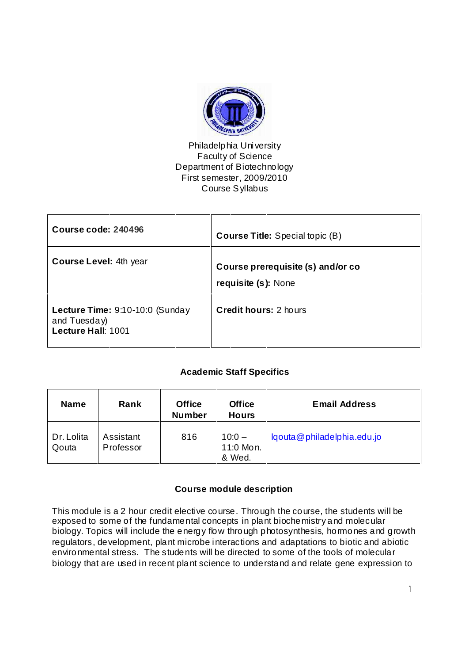

## Philadelphia University Faculty of Science Department of Biotechnology First semester, 2009/2010 Course Syllabus

| Course code: 240496                                                   | <b>Course Title:</b> Special topic (B)                   |
|-----------------------------------------------------------------------|----------------------------------------------------------|
| <b>Course Level: 4th year</b>                                         | Course prerequisite (s) and/or co<br>requisite (s): None |
| Lecture Time: 9:10-10:0 (Sunday<br>and Tuesday)<br>Lecture Hall: 1001 | <b>Credit hours: 2 hours</b>                             |

# **Academic Staff Specifics**

| <b>Name</b>         | Rank                   | <b>Office</b><br><b>Number</b> | <b>Office</b><br><b>Hours</b>   | <b>Email Address</b>       |
|---------------------|------------------------|--------------------------------|---------------------------------|----------------------------|
| Dr. Lolita<br>Qouta | Assistant<br>Professor | 816                            | $10:0 -$<br>11:0 Mon.<br>& Wed. | lgouta@philadelphia.edu.jo |

# **Course module description**

This module is a 2 hour credit elective course. Through the course, the students will be exposed to some of the fundamental concepts in plant biochemistry and molecular biology. Topics will include the energy flow through photosynthesis, hormones and growth regulators, development, plant microbe interactions and adaptations to biotic and abiotic environmental stress. The students will be directed to some of the tools of molecular biology that are used in recent plant science to understand and relate gene expression to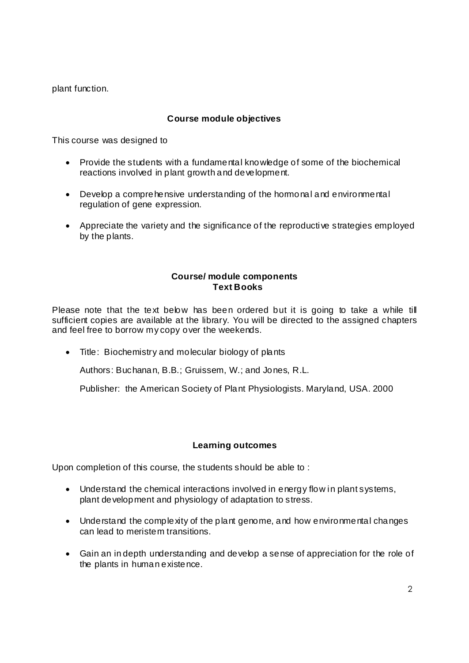plant function.

## **Course module objectives**

This course was designed to

- Provide the students with a fundamental knowledge of some of the biochemical reactions involved in plant growth and development.
- Develop a comprehensive understanding of the hormonal and environmental regulation of gene expression.
- Appreciate the variety and the significance of the reproductive strategies employed by the plants.

### **Course/ module components Text Books**

Please note that the text below has been ordered but it is going to take a while till sufficient copies are available at the library. You will be directed to the assigned chapters and feel free to borrow my copy over the weekends.

• Title: Biochemistry and molecular biology of plants

Authors: Buchanan, B.B.; Gruissem, W.; and Jones, R.L.

Publisher: the American Society of Plant Physiologists. Maryland, USA. 2000

#### **Learning outcomes**

Upon completion of this course, the students should be able to :

- Understand the chemical interactions involved in energy flow in plant systems, plant development and physiology of adaptation to stress.
- Understand the complexity of the plant genome, and how environmental changes can lead to meristem transitions.
- Gain an in depth understanding and develop a sense of appreciation for the role of the plants in human existence.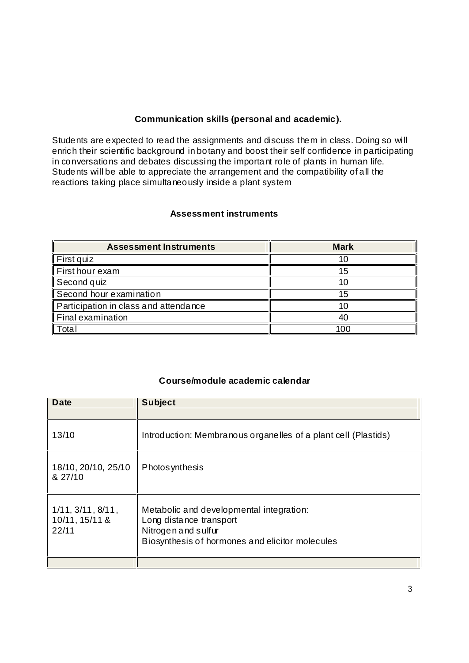# **Communication skills (personal and academic).**

Students are expected to read the assignments and discuss them in class. Doing so wi ll enrich their scientific background in botany and boost their self confidence in participating in conversations and debates discussing the important role of plants in human life. Students will be able to appreciate the arrangement and the compatibility of all the reactions taking place simultaneously inside a plant system

## **Assessment instruments**

| <b>Assessment Instruments</b>         | <b>Mark</b> |
|---------------------------------------|-------------|
| First quiz                            |             |
| First hour exam                       |             |
| Second quiz                           |             |
| Second hour examination               |             |
| Participation in class and attendance |             |
| Final examination                     |             |
| Total                                 | OC          |

# **Course/module academic calendar**

| Date                                         | <b>Subject</b>                                                                                                                                |
|----------------------------------------------|-----------------------------------------------------------------------------------------------------------------------------------------------|
|                                              |                                                                                                                                               |
| 13/10                                        | Introduction: Membranous organelles of a plant cell (Plastids)                                                                                |
| 18/10, 20/10, 25/10<br>& 27/10               | Photos ynthesis                                                                                                                               |
| 1/11, 3/11, 8/11,<br>10/11, 15/11 &<br>22/11 | Metabolic and developmental integration:<br>Long distance transport<br>Nitrogen and sulfur<br>Biosynthesis of hormones and elicitor molecules |
|                                              |                                                                                                                                               |